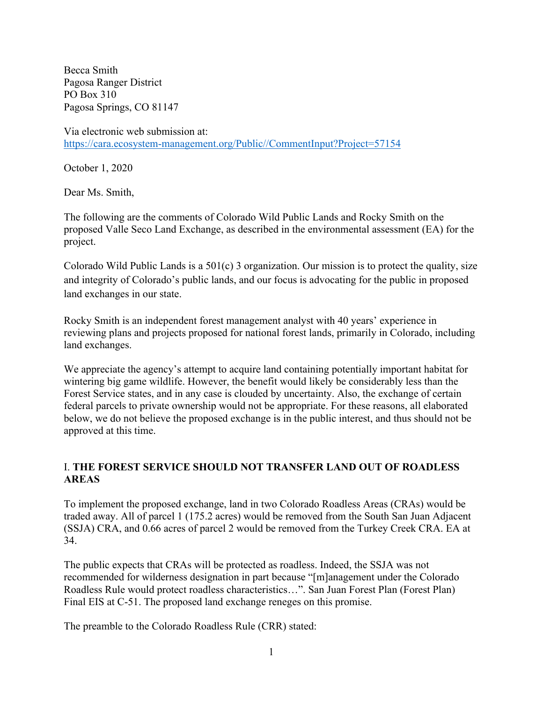Becca Smith Pagosa Ranger District PO Box 310 Pagosa Springs, CO 81147

Via electronic web submission at: https://cara.ecosystem-management.org/Public//CommentInput?Project=57154

October 1, 2020

Dear Ms. Smith,

The following are the comments of Colorado Wild Public Lands and Rocky Smith on the proposed Valle Seco Land Exchange, as described in the environmental assessment (EA) for the project.

Colorado Wild Public Lands is a 501(c) 3 organization. Our mission is to protect the quality, size and integrity of Colorado's public lands, and our focus is advocating for the public in proposed land exchanges in our state.

Rocky Smith is an independent forest management analyst with 40 years' experience in reviewing plans and projects proposed for national forest lands, primarily in Colorado, including land exchanges.

We appreciate the agency's attempt to acquire land containing potentially important habitat for wintering big game wildlife. However, the benefit would likely be considerably less than the Forest Service states, and in any case is clouded by uncertainty. Also, the exchange of certain federal parcels to private ownership would not be appropriate. For these reasons, all elaborated below, we do not believe the proposed exchange is in the public interest, and thus should not be approved at this time.

# I. **THE FOREST SERVICE SHOULD NOT TRANSFER LAND OUT OF ROADLESS AREAS**

To implement the proposed exchange, land in two Colorado Roadless Areas (CRAs) would be traded away. All of parcel 1 (175.2 acres) would be removed from the South San Juan Adjacent (SSJA) CRA, and 0.66 acres of parcel 2 would be removed from the Turkey Creek CRA. EA at 34.

The public expects that CRAs will be protected as roadless. Indeed, the SSJA was not recommended for wilderness designation in part because "[m]anagement under the Colorado Roadless Rule would protect roadless characteristics…". San Juan Forest Plan (Forest Plan) Final EIS at C-51. The proposed land exchange reneges on this promise.

The preamble to the Colorado Roadless Rule (CRR) stated: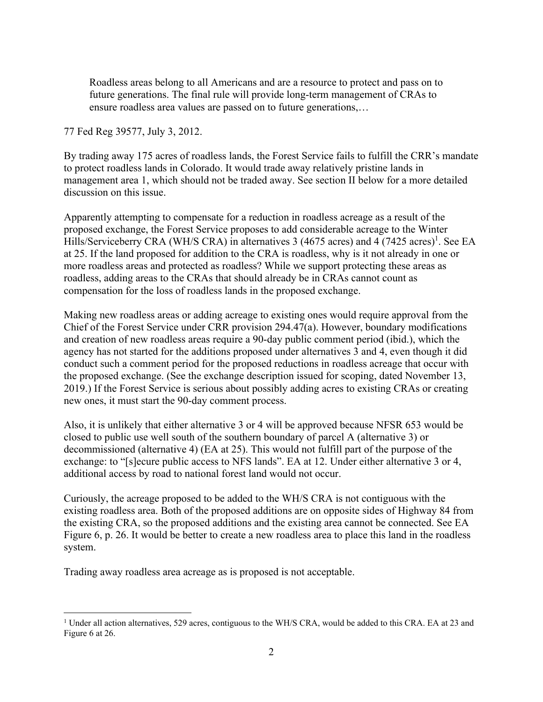Roadless areas belong to all Americans and are a resource to protect and pass on to future generations. The final rule will provide long-term management of CRAs to ensure roadless area values are passed on to future generations,…

77 Fed Reg 39577, July 3, 2012.

By trading away 175 acres of roadless lands, the Forest Service fails to fulfill the CRR's mandate to protect roadless lands in Colorado. It would trade away relatively pristine lands in management area 1, which should not be traded away. See section II below for a more detailed discussion on this issue.

Apparently attempting to compensate for a reduction in roadless acreage as a result of the proposed exchange, the Forest Service proposes to add considerable acreage to the Winter Hills/Serviceberry CRA (WH/S CRA) in alternatives 3 (4675 acres) and 4 (7425 acres)<sup>1</sup>. See EA at 25. If the land proposed for addition to the CRA is roadless, why is it not already in one or more roadless areas and protected as roadless? While we support protecting these areas as roadless, adding areas to the CRAs that should already be in CRAs cannot count as compensation for the loss of roadless lands in the proposed exchange.

Making new roadless areas or adding acreage to existing ones would require approval from the Chief of the Forest Service under CRR provision 294.47(a). However, boundary modifications and creation of new roadless areas require a 90-day public comment period (ibid.), which the agency has not started for the additions proposed under alternatives 3 and 4, even though it did conduct such a comment period for the proposed reductions in roadless acreage that occur with the proposed exchange. (See the exchange description issued for scoping, dated November 13, 2019.) If the Forest Service is serious about possibly adding acres to existing CRAs or creating new ones, it must start the 90-day comment process.

Also, it is unlikely that either alternative 3 or 4 will be approved because NFSR 653 would be closed to public use well south of the southern boundary of parcel A (alternative 3) or decommissioned (alternative 4) (EA at 25). This would not fulfill part of the purpose of the exchange: to "[s]ecure public access to NFS lands". EA at 12. Under either alternative 3 or 4, additional access by road to national forest land would not occur.

Curiously, the acreage proposed to be added to the WH/S CRA is not contiguous with the existing roadless area. Both of the proposed additions are on opposite sides of Highway 84 from the existing CRA, so the proposed additions and the existing area cannot be connected. See EA Figure 6, p. 26. It would be better to create a new roadless area to place this land in the roadless system.

Trading away roadless area acreage as is proposed is not acceptable.

<sup>&</sup>lt;sup>1</sup> Under all action alternatives, 529 acres, contiguous to the WH/S CRA, would be added to this CRA. EA at 23 and Figure 6 at 26.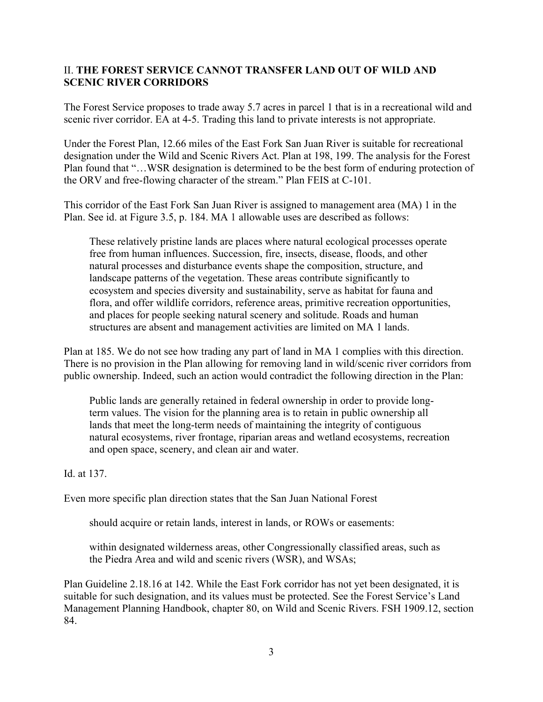### II. **THE FOREST SERVICE CANNOT TRANSFER LAND OUT OF WILD AND SCENIC RIVER CORRIDORS**

The Forest Service proposes to trade away 5.7 acres in parcel 1 that is in a recreational wild and scenic river corridor. EA at 4-5. Trading this land to private interests is not appropriate.

Under the Forest Plan, 12.66 miles of the East Fork San Juan River is suitable for recreational designation under the Wild and Scenic Rivers Act. Plan at 198, 199. The analysis for the Forest Plan found that "…WSR designation is determined to be the best form of enduring protection of the ORV and free-flowing character of the stream." Plan FEIS at C-101.

This corridor of the East Fork San Juan River is assigned to management area (MA) 1 in the Plan. See id. at Figure 3.5, p. 184. MA 1 allowable uses are described as follows:

These relatively pristine lands are places where natural ecological processes operate free from human influences. Succession, fire, insects, disease, floods, and other natural processes and disturbance events shape the composition, structure, and landscape patterns of the vegetation. These areas contribute significantly to ecosystem and species diversity and sustainability, serve as habitat for fauna and flora, and offer wildlife corridors, reference areas, primitive recreation opportunities, and places for people seeking natural scenery and solitude. Roads and human structures are absent and management activities are limited on MA 1 lands.

Plan at 185. We do not see how trading any part of land in MA 1 complies with this direction. There is no provision in the Plan allowing for removing land in wild/scenic river corridors from public ownership. Indeed, such an action would contradict the following direction in the Plan:

Public lands are generally retained in federal ownership in order to provide longterm values. The vision for the planning area is to retain in public ownership all lands that meet the long-term needs of maintaining the integrity of contiguous natural ecosystems, river frontage, riparian areas and wetland ecosystems, recreation and open space, scenery, and clean air and water.

Id. at 137.

Even more specific plan direction states that the San Juan National Forest

should acquire or retain lands, interest in lands, or ROWs or easements:

within designated wilderness areas, other Congressionally classified areas, such as the Piedra Area and wild and scenic rivers (WSR), and WSAs;

Plan Guideline 2.18.16 at 142. While the East Fork corridor has not yet been designated, it is suitable for such designation, and its values must be protected. See the Forest Service's Land Management Planning Handbook, chapter 80, on Wild and Scenic Rivers. FSH 1909.12, section 84.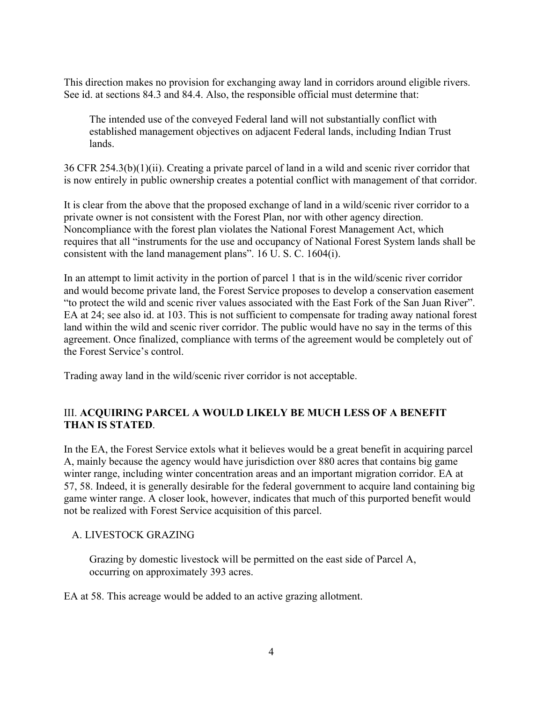This direction makes no provision for exchanging away land in corridors around eligible rivers. See id. at sections 84.3 and 84.4. Also, the responsible official must determine that:

The intended use of the conveyed Federal land will not substantially conflict with established management objectives on adjacent Federal lands, including Indian Trust lands.

36 CFR 254.3(b)(1)(ii). Creating a private parcel of land in a wild and scenic river corridor that is now entirely in public ownership creates a potential conflict with management of that corridor.

It is clear from the above that the proposed exchange of land in a wild/scenic river corridor to a private owner is not consistent with the Forest Plan, nor with other agency direction. Noncompliance with the forest plan violates the National Forest Management Act, which requires that all "instruments for the use and occupancy of National Forest System lands shall be consistent with the land management plans". 16 U. S. C. 1604(i).

In an attempt to limit activity in the portion of parcel 1 that is in the wild/scenic river corridor and would become private land, the Forest Service proposes to develop a conservation easement "to protect the wild and scenic river values associated with the East Fork of the San Juan River". EA at 24; see also id. at 103. This is not sufficient to compensate for trading away national forest land within the wild and scenic river corridor. The public would have no say in the terms of this agreement. Once finalized, compliance with terms of the agreement would be completely out of the Forest Service's control.

Trading away land in the wild/scenic river corridor is not acceptable.

# III. **ACQUIRING PARCEL A WOULD LIKELY BE MUCH LESS OF A BENEFIT THAN IS STATED**.

In the EA, the Forest Service extols what it believes would be a great benefit in acquiring parcel A, mainly because the agency would have jurisdiction over 880 acres that contains big game winter range, including winter concentration areas and an important migration corridor. EA at 57, 58. Indeed, it is generally desirable for the federal government to acquire land containing big game winter range. A closer look, however, indicates that much of this purported benefit would not be realized with Forest Service acquisition of this parcel.

# A. LIVESTOCK GRAZING

Grazing by domestic livestock will be permitted on the east side of Parcel A, occurring on approximately 393 acres.

EA at 58. This acreage would be added to an active grazing allotment.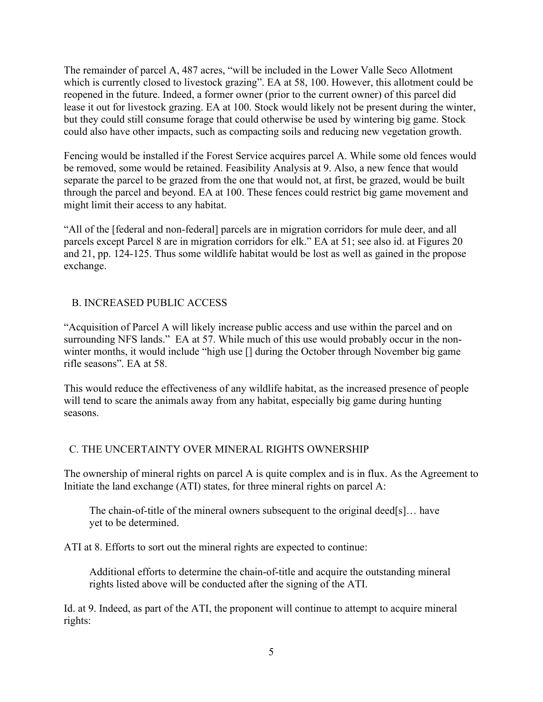The remainder of parcel A, 487 acres, "will be included in the Lower Valle Seco Allotment which is currently closed to livestock grazing". EA at 58, 100. However, this allotment could be reopened in the future. Indeed, a former owner (prior to the current owner) of this parcel did lease it out for livestock grazing. EA at 100. Stock would likely not be present during the winter, but they could still consume forage that could otherwise be used by wintering big game. Stock could also have other impacts, such as compacting soils and reducing new vegetation growth.

Fencing would be installed if the Forest Service acquires parcel A. While some old fences would be removed, some would be retained. Feasibility Analysis at 9. Also, a new fence that would separate the parcel to be grazed from the one that would not, at first, be grazed, would be built through the parcel and beyond. EA at 100. These fences could restrict big game movement and might limit their access to any habitat.

"All of the [federal and non-federal] parcels are in migration corridors for mule deer, and all parcels except Parcel 8 are in migration corridors for elk." EA at 51; see also id. at Figures 20 and 21, pp. 124-125. Thus some wildlife habitat would be lost as well as gained in the propose exchange.

# B. INCREASED PUBLIC ACCESS

"Acquisition of Parcel A will likely increase public access and use within the parcel and on surrounding NFS lands." EA at 57. While much of this use would probably occur in the nonwinter months, it would include "high use [] during the October through November big game rifle seasons". EA at 58.

This would reduce the effectiveness of any wildlife habitat, as the increased presence of people will tend to scare the animals away from any habitat, especially big game during hunting seasons.

#### C. THE UNCERTAINTY OVER MINERAL RIGHTS OWNERSHIP

The ownership of mineral rights on parcel A is quite complex and is in flux. As the Agreement to Initiate the land exchange (ATI) states, for three mineral rights on parcel A:

The chain-of-title of the mineral owners subsequent to the original deed[s]… have yet to be determined.

ATI at 8. Efforts to sort out the mineral rights are expected to continue:

Additional efforts to determine the chain-of-title and acquire the outstanding mineral rights listed above will be conducted after the signing of the ATI.

Id. at 9. Indeed, as part of the ATI, the proponent will continue to attempt to acquire mineral rights: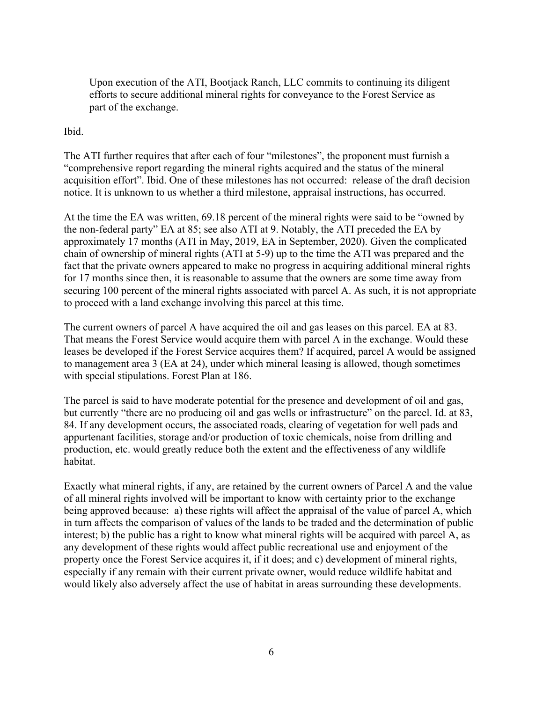Upon execution of the ATI, Bootjack Ranch, LLC commits to continuing its diligent efforts to secure additional mineral rights for conveyance to the Forest Service as part of the exchange.

### Ibid.

The ATI further requires that after each of four "milestones", the proponent must furnish a "comprehensive report regarding the mineral rights acquired and the status of the mineral acquisition effort". Ibid. One of these milestones has not occurred: release of the draft decision notice. It is unknown to us whether a third milestone, appraisal instructions, has occurred.

At the time the EA was written, 69.18 percent of the mineral rights were said to be "owned by the non-federal party" EA at 85; see also ATI at 9. Notably, the ATI preceded the EA by approximately 17 months (ATI in May, 2019, EA in September, 2020). Given the complicated chain of ownership of mineral rights (ATI at 5-9) up to the time the ATI was prepared and the fact that the private owners appeared to make no progress in acquiring additional mineral rights for 17 months since then, it is reasonable to assume that the owners are some time away from securing 100 percent of the mineral rights associated with parcel A. As such, it is not appropriate to proceed with a land exchange involving this parcel at this time.

The current owners of parcel A have acquired the oil and gas leases on this parcel. EA at 83. That means the Forest Service would acquire them with parcel A in the exchange. Would these leases be developed if the Forest Service acquires them? If acquired, parcel A would be assigned to management area 3 (EA at 24), under which mineral leasing is allowed, though sometimes with special stipulations. Forest Plan at 186.

The parcel is said to have moderate potential for the presence and development of oil and gas, but currently "there are no producing oil and gas wells or infrastructure" on the parcel. Id. at 83, 84. If any development occurs, the associated roads, clearing of vegetation for well pads and appurtenant facilities, storage and/or production of toxic chemicals, noise from drilling and production, etc. would greatly reduce both the extent and the effectiveness of any wildlife habitat.

Exactly what mineral rights, if any, are retained by the current owners of Parcel A and the value of all mineral rights involved will be important to know with certainty prior to the exchange being approved because: a) these rights will affect the appraisal of the value of parcel A, which in turn affects the comparison of values of the lands to be traded and the determination of public interest; b) the public has a right to know what mineral rights will be acquired with parcel A, as any development of these rights would affect public recreational use and enjoyment of the property once the Forest Service acquires it, if it does; and c) development of mineral rights, especially if any remain with their current private owner, would reduce wildlife habitat and would likely also adversely affect the use of habitat in areas surrounding these developments.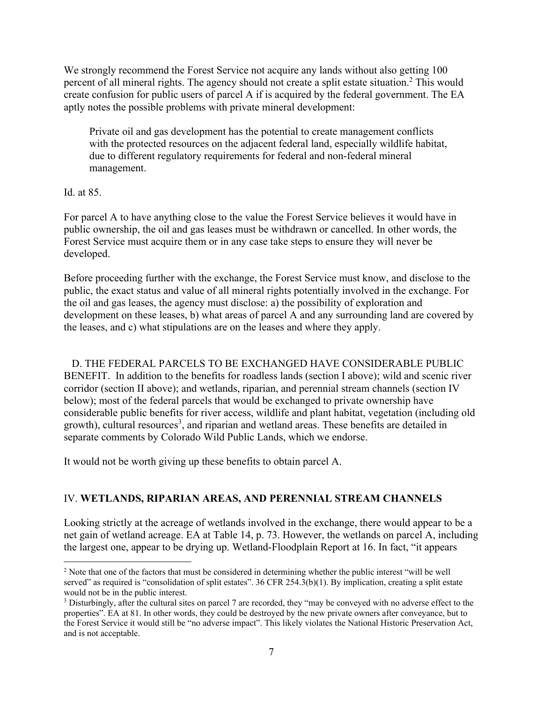We strongly recommend the Forest Service not acquire any lands without also getting 100 percent of all mineral rights. The agency should not create a split estate situation.<sup>2</sup> This would create confusion for public users of parcel A if is acquired by the federal government. The EA aptly notes the possible problems with private mineral development:

Private oil and gas development has the potential to create management conflicts with the protected resources on the adjacent federal land, especially wildlife habitat, due to different regulatory requirements for federal and non-federal mineral management.

Id. at 85.

For parcel A to have anything close to the value the Forest Service believes it would have in public ownership, the oil and gas leases must be withdrawn or cancelled. In other words, the Forest Service must acquire them or in any case take steps to ensure they will never be developed.

Before proceeding further with the exchange, the Forest Service must know, and disclose to the public, the exact status and value of all mineral rights potentially involved in the exchange. For the oil and gas leases, the agency must disclose: a) the possibility of exploration and development on these leases, b) what areas of parcel A and any surrounding land are covered by the leases, and c) what stipulations are on the leases and where they apply.

 D. THE FEDERAL PARCELS TO BE EXCHANGED HAVE CONSIDERABLE PUBLIC BENEFIT. In addition to the benefits for roadless lands (section I above); wild and scenic river corridor (section II above); and wetlands, riparian, and perennial stream channels (section IV below); most of the federal parcels that would be exchanged to private ownership have considerable public benefits for river access, wildlife and plant habitat, vegetation (including old growth), cultural resources<sup>3</sup>, and riparian and wetland areas. These benefits are detailed in separate comments by Colorado Wild Public Lands, which we endorse.

It would not be worth giving up these benefits to obtain parcel A.

# IV. **WETLANDS, RIPARIAN AREAS, AND PERENNIAL STREAM CHANNELS**

Looking strictly at the acreage of wetlands involved in the exchange, there would appear to be a net gain of wetland acreage. EA at Table 14, p. 73. However, the wetlands on parcel A, including the largest one, appear to be drying up. Wetland-Floodplain Report at 16. In fact, "it appears

<sup>&</sup>lt;sup>2</sup> Note that one of the factors that must be considered in determining whether the public interest "will be well served" as required is "consolidation of split estates". 36 CFR 254.3(b)(1). By implication, creating a split estate would not be in the public interest.

<sup>&</sup>lt;sup>3</sup> Disturbingly, after the cultural sites on parcel 7 are recorded, they "may be conveyed with no adverse effect to the properties". EA at 81. In other words, they could be destroyed by the new private owners after conveyance, but to the Forest Service it would still be "no adverse impact". This likely violates the National Historic Preservation Act, and is not acceptable.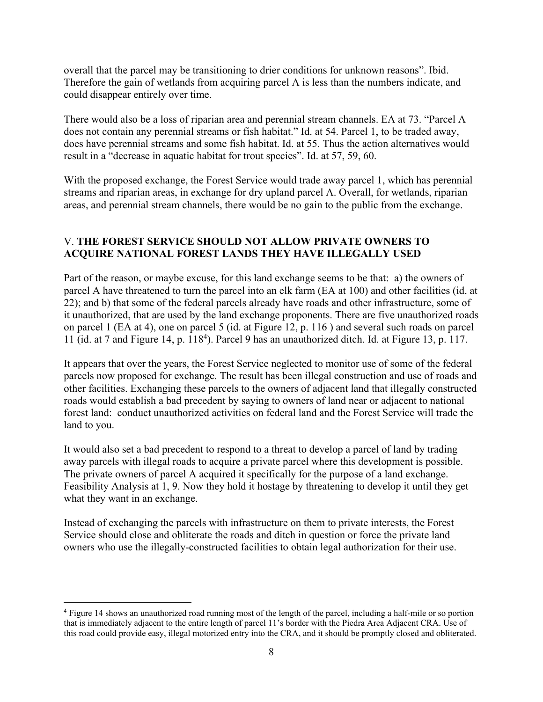overall that the parcel may be transitioning to drier conditions for unknown reasons". Ibid. Therefore the gain of wetlands from acquiring parcel A is less than the numbers indicate, and could disappear entirely over time.

There would also be a loss of riparian area and perennial stream channels. EA at 73. "Parcel A does not contain any perennial streams or fish habitat." Id. at 54. Parcel 1, to be traded away, does have perennial streams and some fish habitat. Id. at 55. Thus the action alternatives would result in a "decrease in aquatic habitat for trout species". Id. at 57, 59, 60.

With the proposed exchange, the Forest Service would trade away parcel 1, which has perennial streams and riparian areas, in exchange for dry upland parcel A. Overall, for wetlands, riparian areas, and perennial stream channels, there would be no gain to the public from the exchange.

# V. **THE FOREST SERVICE SHOULD NOT ALLOW PRIVATE OWNERS TO ACQUIRE NATIONAL FOREST LANDS THEY HAVE ILLEGALLY USED**

Part of the reason, or maybe excuse, for this land exchange seems to be that: a) the owners of parcel A have threatened to turn the parcel into an elk farm (EA at 100) and other facilities (id. at 22); and b) that some of the federal parcels already have roads and other infrastructure, some of it unauthorized, that are used by the land exchange proponents. There are five unauthorized roads on parcel 1 (EA at 4), one on parcel 5 (id. at Figure 12, p. 116 ) and several such roads on parcel 11 (id. at 7 and Figure 14, p. 118<sup>4</sup>). Parcel 9 has an unauthorized ditch. Id. at Figure 13, p. 117.

It appears that over the years, the Forest Service neglected to monitor use of some of the federal parcels now proposed for exchange. The result has been illegal construction and use of roads and other facilities. Exchanging these parcels to the owners of adjacent land that illegally constructed roads would establish a bad precedent by saying to owners of land near or adjacent to national forest land: conduct unauthorized activities on federal land and the Forest Service will trade the land to you.

It would also set a bad precedent to respond to a threat to develop a parcel of land by trading away parcels with illegal roads to acquire a private parcel where this development is possible. The private owners of parcel A acquired it specifically for the purpose of a land exchange. Feasibility Analysis at 1, 9. Now they hold it hostage by threatening to develop it until they get what they want in an exchange.

Instead of exchanging the parcels with infrastructure on them to private interests, the Forest Service should close and obliterate the roads and ditch in question or force the private land owners who use the illegally-constructed facilities to obtain legal authorization for their use.

<sup>&</sup>lt;sup>4</sup> Figure 14 shows an unauthorized road running most of the length of the parcel, including a half-mile or so portion that is immediately adjacent to the entire length of parcel 11's border with the Piedra Area Adjacent CRA. Use of this road could provide easy, illegal motorized entry into the CRA, and it should be promptly closed and obliterated.